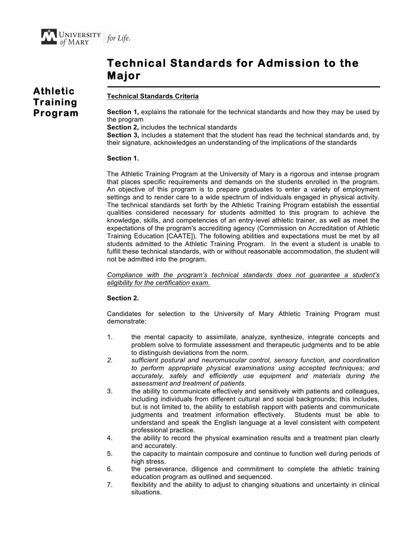# **Technical Standards for Admission to the Major**

## **Athletic Training Program**

## **Technical Standards Criteria**

**Section 1,** explains the rationale for the technical standards and how they may be used by the program

**Section 2,** includes the technical standards

**Section 3,** includes a statement that the student has read the technical standards and, by their signature, acknowledges an understanding of the implications of the standards

## **Section 1.**

The Athletic Training Program at the University of Mary is a rigorous and intense program that places specific requirements and demands on the students enrolled in the program. An objective of this program is to prepare graduates to enter a variety of employment settings and to render care to a wide spectrum of individuals engaged in physical activity. The technical standards set forth by the Athletic Training Program establish the essential qualities considered necessary for students admitted to this program to achieve the knowledge, skills, and competencies of an entry-level athletic trainer, as well as meet the expectations of the program's accrediting agency (Commission on Accreditation of Athletic Training Education [CAATE]). The following abilities and expectations must be met by all students admitted to the Athletic Training Program. In the event a student is unable to fulfill these technical standards, with or without reasonable accommodation, the student will not be admitted into the program.

*Compliance with the program's technical standards does not guarantee a student's eligibility for the certification exam.*

## **Section 2.**

Candidates for selection to the University of Mary Athletic Training Program must demonstrate:

- 1. the mental capacity to assimilate, analyze, synthesize, integrate concepts and problem solve to formulate assessment and therapeutic judgments and to be able to distinguish deviations from the norm.
- *2. sufficient postural and neuromuscular control, sensory function, and coordination to perform appropriate physical examinations using accepted techniques; and accurately, safely and efficiently use equipment and materials during the assessment and treatment of patients.*
- 3. the ability to communicate effectively and sensitively with patients and colleagues, including individuals from different cultural and social backgrounds; this includes, but is not limited to, the ability to establish rapport with patients and communicate judgments and treatment information effectively. Students must be able to understand and speak the English language at a level consistent with competent professional practice.
- 4. the ability to record the physical examination results and a treatment plan clearly and accurately.
- 5. the capacity to maintain composure and continue to function well during periods of high stress.
- 6. the perseverance, diligence and commitment to complete the athletic training education program as outlined and sequenced.
- 7. flexibility and the ability to adjust to changing situations and uncertainty in clinical situations.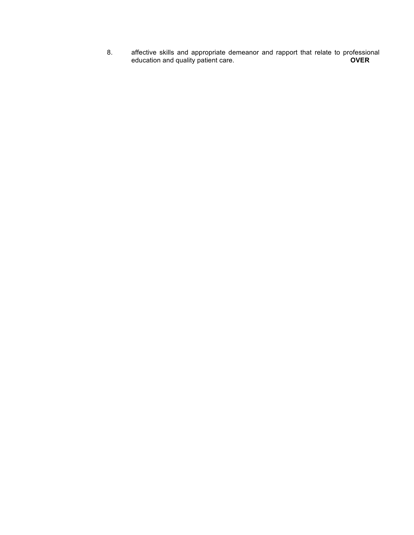8. affective skills and appropriate demeanor and rapport that relate to professional education and quality patient care. **OVER**